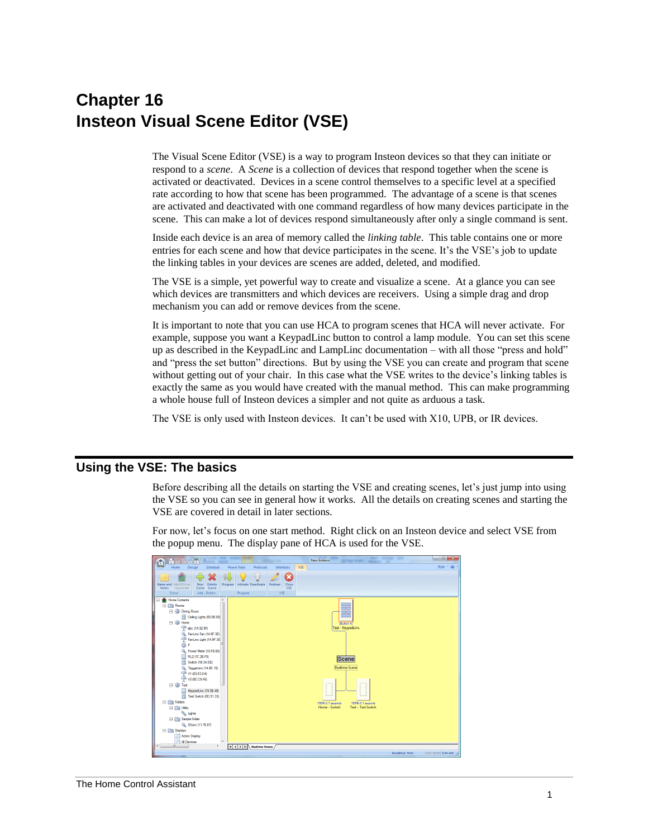# **Chapter 16 Insteon Visual Scene Editor (VSE)**

The Visual Scene Editor (VSE) is a way to program Insteon devices so that they can initiate or respond to a *scene*. A *Scene* is a collection of devices that respond together when the scene is activated or deactivated. Devices in a scene control themselves to a specific level at a specified rate according to how that scene has been programmed. The advantage of a scene is that scenes are activated and deactivated with one command regardless of how many devices participate in the scene. This can make a lot of devices respond simultaneously after only a single command is sent.

Inside each device is an area of memory called the *linking table*. This table contains one or more entries for each scene and how that device participates in the scene. It's the VSE's job to update the linking tables in your devices are scenes are added, deleted, and modified.

The VSE is a simple, yet powerful way to create and visualize a scene. At a glance you can see which devices are transmitters and which devices are receivers. Using a simple drag and drop mechanism you can add or remove devices from the scene.

It is important to note that you can use HCA to program scenes that HCA will never activate. For example, suppose you want a KeypadLinc button to control a lamp module. You can set this scene up as described in the KeypadLinc and LampLinc documentation – with all those "press and hold" and "press the set button" directions. But by using the VSE you can create and program that scene without getting out of your chair. In this case what the VSE writes to the device's linking tables is exactly the same as you would have created with the manual method. This can make programming a whole house full of Insteon devices a simpler and not quite as arduous a task.

The VSE is only used with Insteon devices. It can't be used with X10, UPB, or IR devices.

# **Using the VSE: The basics**

Before describing all the details on starting the VSE and creating scenes, let's just jump into using the VSE so you can see in general how it works. All the details on creating scenes and starting the VSE are covered in detail in later sections.

For now, let's focus on one start method. Right click on an Insteon device and select VSE from the popup menu. The display pane of HCA is used for the VSE.

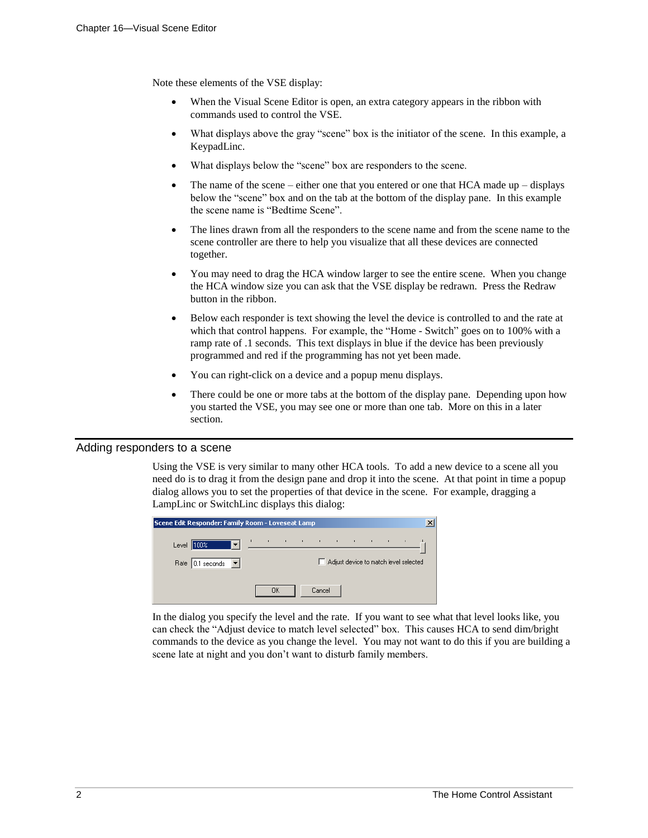Note these elements of the VSE display:

- When the Visual Scene Editor is open, an extra category appears in the ribbon with commands used to control the VSE.
- What displays above the gray "scene" box is the initiator of the scene. In this example, a KeypadLinc.
- What displays below the "scene" box are responders to the scene.
- The name of the scene either one that you entered or one that HCA made up displays below the "scene" box and on the tab at the bottom of the display pane. In this example the scene name is "Bedtime Scene".
- The lines drawn from all the responders to the scene name and from the scene name to the scene controller are there to help you visualize that all these devices are connected together.
- You may need to drag the HCA window larger to see the entire scene. When you change the HCA window size you can ask that the VSE display be redrawn. Press the Redraw button in the ribbon.
- Below each responder is text showing the level the device is controlled to and the rate at which that control happens. For example, the "Home - Switch" goes on to 100% with a ramp rate of .1 seconds. This text displays in blue if the device has been previously programmed and red if the programming has not yet been made.
- You can right-click on a device and a popup menu displays.
- There could be one or more tabs at the bottom of the display pane. Depending upon how you started the VSE, you may see one or more than one tab. More on this in a later section.

#### Adding responders to a scene

Using the VSE is very similar to many other HCA tools. To add a new device to a scene all you need do is to drag it from the design pane and drop it into the scene. At that point in time a popup dialog allows you to set the properties of that device in the scene. For example, dragging a LampLinc or SwitchLinc displays this dialog:

| Scene Edit Responder: Family Room - Loveseat Lamp |    |  |        |                                                                                                                                 |  |  |  |
|---------------------------------------------------|----|--|--------|---------------------------------------------------------------------------------------------------------------------------------|--|--|--|
| Level $ 100%$                                     |    |  |        | $\mathcal{O}(10^{-10})$ . The second constraints of the second constraints of the second constraints of $\mathcal{O}(10^{-10})$ |  |  |  |
| Rate $0.1$ seconds $\blacktriangledown$           |    |  |        | Adjust device to match level selected                                                                                           |  |  |  |
|                                                   | OΚ |  | Cancel |                                                                                                                                 |  |  |  |

In the dialog you specify the level and the rate. If you want to see what that level looks like, you can check the "Adjust device to match level selected" box. This causes HCA to send dim/bright commands to the device as you change the level. You may not want to do this if you are building a scene late at night and you don't want to disturb family members.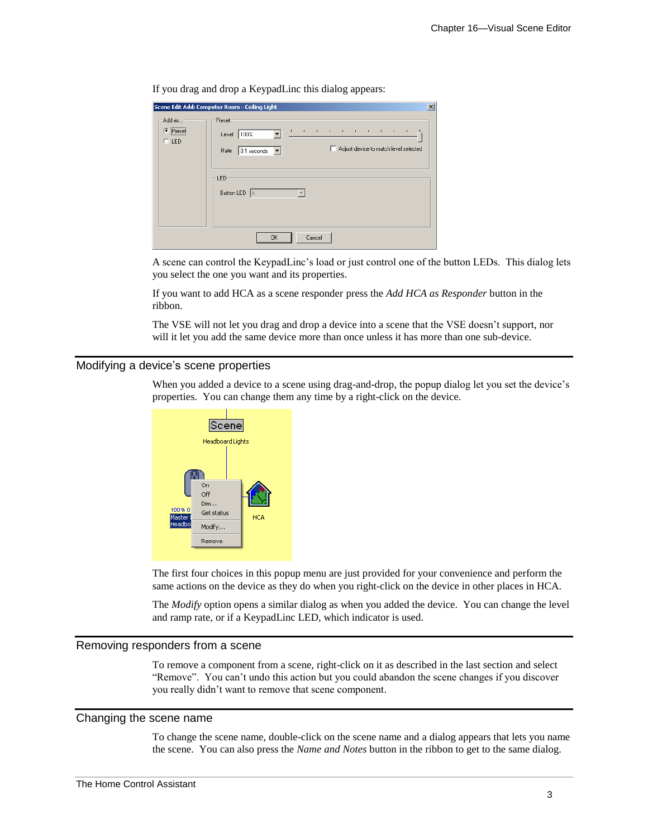| $\tilde{\phantom{a}}$<br>___          | л.<br>. .                                                                                  | ັ<br>$\mathbf{r}$                                                                                                                 |                 |
|---------------------------------------|--------------------------------------------------------------------------------------------|-----------------------------------------------------------------------------------------------------------------------------------|-----------------|
|                                       | Scene Edit Add: Computer Room - Ceiling Light                                              |                                                                                                                                   | $\vert x \vert$ |
| Add as<br>.<br>G<br>Preset<br>$C$ LED | Preset<br>$\mathbf{r}$<br>100%<br>Level<br>Rate<br>0.1 seconds<br>▼<br>LED<br>Button LED A | the contract of the contract of the contract of<br>$\sim 10$<br>Adjust device to match level selected<br>$\overline{\phantom{a}}$ |                 |
|                                       | 0K                                                                                         | Cancel                                                                                                                            |                 |

If you drag and drop a KeypadLinc this dialog appears:

A scene can control the KeypadLinc's load or just control one of the button LEDs. This dialog lets you select the one you want and its properties.

If you want to add HCA as a scene responder press the *Add HCA as Responder* button in the ribbon.

The VSE will not let you drag and drop a device into a scene that the VSE doesn't support, nor will it let you add the same device more than once unless it has more than one sub-device.

#### Modifying a device's scene properties

When you added a device to a scene using drag-and-drop, the popup dialog let you set the device's properties. You can change them any time by a right-click on the device.



The first four choices in this popup menu are just provided for your convenience and perform the same actions on the device as they do when you right-click on the device in other places in HCA.

The *Modify* option opens a similar dialog as when you added the device. You can change the level and ramp rate, or if a KeypadLinc LED, which indicator is used.

# Removing responders from a scene

To remove a component from a scene, right-click on it as described in the last section and select "Remove". You can't undo this action but you could abandon the scene changes if you discover you really didn't want to remove that scene component.

#### Changing the scene name

To change the scene name, double-click on the scene name and a dialog appears that lets you name the scene. You can also press the *Name and Notes* button in the ribbon to get to the same dialog.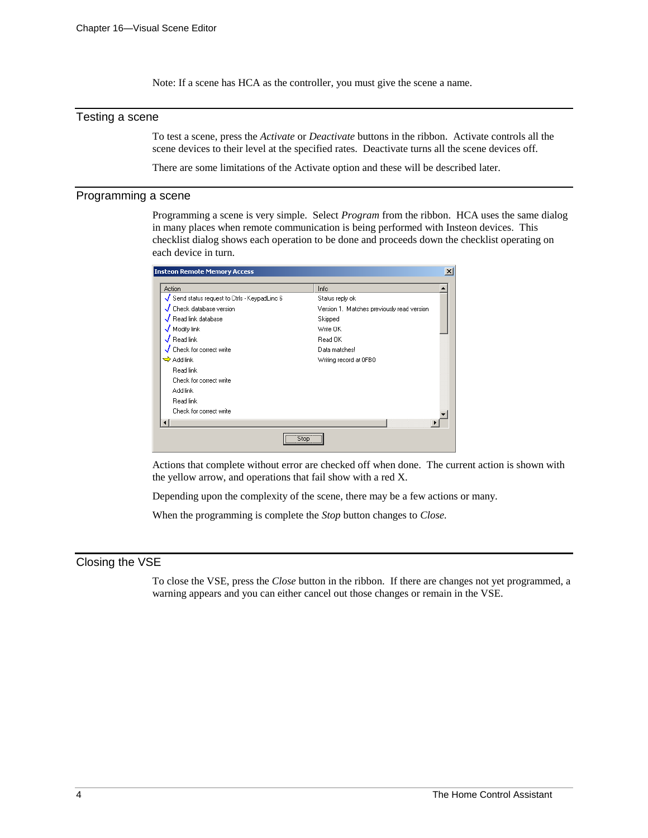Note: If a scene has HCA as the controller, you must give the scene a name.

# Testing a scene

To test a scene, press the *Activate* or *Deactivate* buttons in the ribbon. Activate controls all the scene devices to their level at the specified rates. Deactivate turns all the scene devices off.

There are some limitations of the Activate option and these will be described later.

#### Programming a scene

Programming a scene is very simple. Select *Program* from the ribbon. HCA uses the same dialog in many places when remote communication is being performed with Insteon devices. This checklist dialog shows each operation to be done and proceeds down the checklist operating on each device in turn.

| <b>Insteon Remote Memory Access</b>         |                                             | $\mathbf{x}$ |
|---------------------------------------------|---------------------------------------------|--------------|
| Action                                      | Info                                        |              |
| Send status request to Ctrls - KeypadLinc 6 | Status reply ok                             |              |
| Check database version                      | Version 1. Matches previously read version. |              |
| $\sqrt{}$ Read link database                | Skipped                                     |              |
| $\sqrt{\,}$ Modify link                     | Write OK                                    |              |
| $\overline{\mathcal{J}}$ Read link          | Read OK                                     |              |
| Check for correct write                     | Data matches!                               |              |
| $\Rightarrow$ Add link                      | Writing record at OFB0                      |              |
| Read link                                   |                                             |              |
| Check for correct write                     |                                             |              |
| Add link                                    |                                             |              |
| Read link                                   |                                             |              |
| Check for correct write                     |                                             |              |
|                                             |                                             |              |
| Stop                                        |                                             |              |

Actions that complete without error are checked off when done. The current action is shown with the yellow arrow, and operations that fail show with a red X.

Depending upon the complexity of the scene, there may be a few actions or many.

When the programming is complete the *Stop* button changes to *Close.*

#### Closing the VSE

To close the VSE, press the *Close* button in the ribbon. If there are changes not yet programmed, a warning appears and you can either cancel out those changes or remain in the VSE.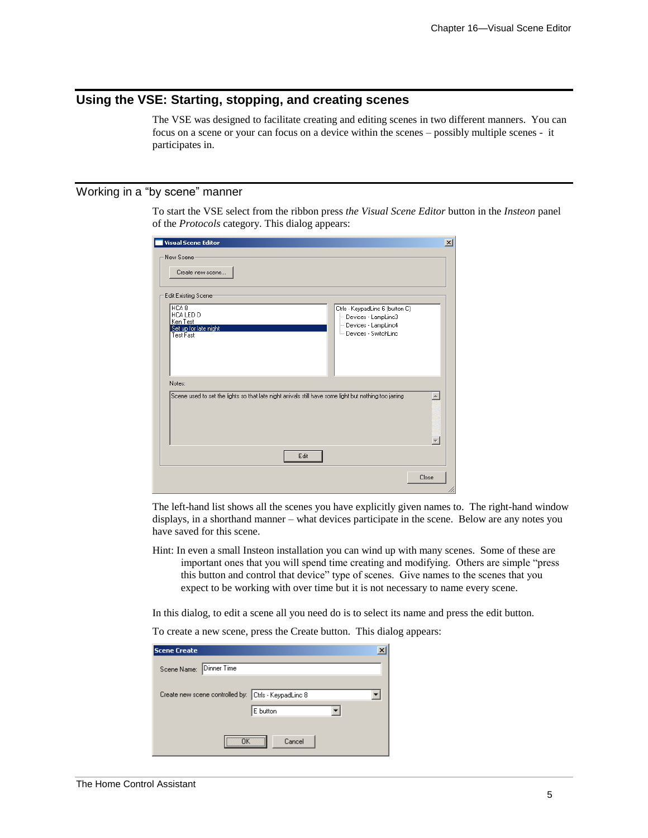# **Using the VSE: Starting, stopping, and creating scenes**

The VSE was designed to facilitate creating and editing scenes in two different manners. You can focus on a scene or your can focus on a device within the scenes – possibly multiple scenes - it participates in.

# Working in a "by scene" manner

To start the VSE select from the ribbon press *the Visual Scene Editor* button in the *Insteon* panel of the *Protocols* category. This dialog appears:

| <b>Visual Scene Editor</b>                                                                                                                                                                                                    | $\vert x \vert$             |
|-------------------------------------------------------------------------------------------------------------------------------------------------------------------------------------------------------------------------------|-----------------------------|
| New Scene<br>Create new scene                                                                                                                                                                                                 |                             |
| Edit Existing Scene:<br>HCA <sub>8</sub><br>Ctrls - KeypadLinc 6 (button C)<br>HCA LED D<br>Devices - LampLinc3<br>Ken Test<br>Devices - LampLinc4<br>Set up for late night<br><sup>i</sup> Devices - SwitchLinc<br>Test Fast |                             |
| Notes:<br>Scene used to set the lights so that late night arrivals still have some light but nothing too jarring<br>Edit                                                                                                      | $\mathcal{A}_{\mathcal{C}}$ |
|                                                                                                                                                                                                                               | Close                       |

The left-hand list shows all the scenes you have explicitly given names to. The right-hand window displays, in a shorthand manner – what devices participate in the scene. Below are any notes you have saved for this scene.

Hint: In even a small Insteon installation you can wind up with many scenes. Some of these are important ones that you will spend time creating and modifying. Others are simple "press this button and control that device" type of scenes. Give names to the scenes that you expect to be working with over time but it is not necessary to name every scene.

In this dialog, to edit a scene all you need do is to select its name and press the edit button.

To create a new scene, press the Create button. This dialog appears:

| <b>Scene Create</b>     |                                                      |  |
|-------------------------|------------------------------------------------------|--|
| Scene Name: Dinner Time |                                                      |  |
|                         | Create new scene controlled by: Ctrls - KeypadLinc 8 |  |
|                         | E button                                             |  |
|                         | <br>Cancel                                           |  |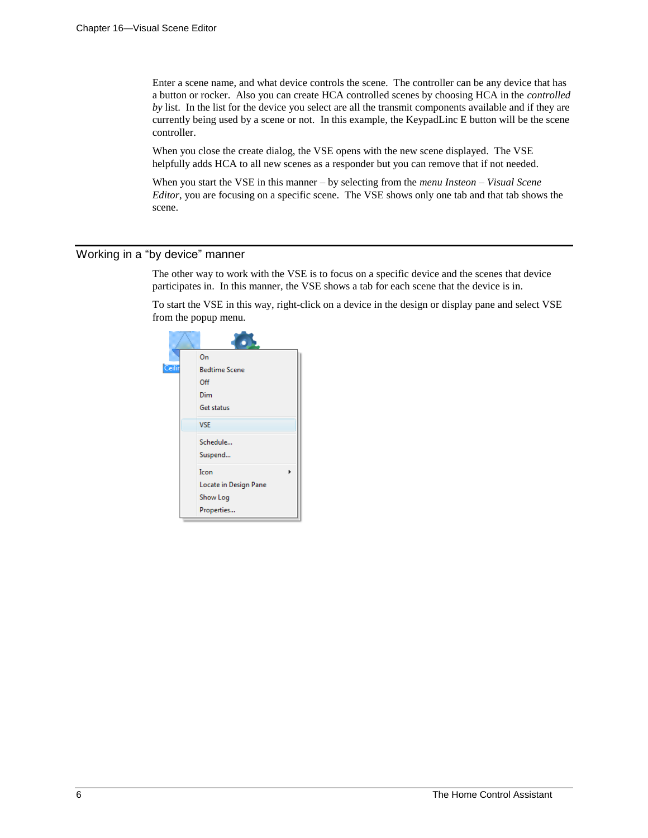Enter a scene name, and what device controls the scene. The controller can be any device that has a button or rocker. Also you can create HCA controlled scenes by choosing HCA in the *controlled by* list. In the list for the device you select are all the transmit components available and if they are currently being used by a scene or not. In this example, the KeypadLinc E button will be the scene controller.

When you close the create dialog, the VSE opens with the new scene displayed. The VSE helpfully adds HCA to all new scenes as a responder but you can remove that if not needed.

When you start the VSE in this manner – by selecting from the *menu Insteon – Visual Scene Editor*, you are focusing on a specific scene. The VSE shows only one tab and that tab shows the scene.

# Working in a "by device" manner

The other way to work with the VSE is to focus on a specific device and the scenes that device participates in. In this manner, the VSE shows a tab for each scene that the device is in.

To start the VSE in this way, right-click on a device in the design or display pane and select VSE from the popup menu.

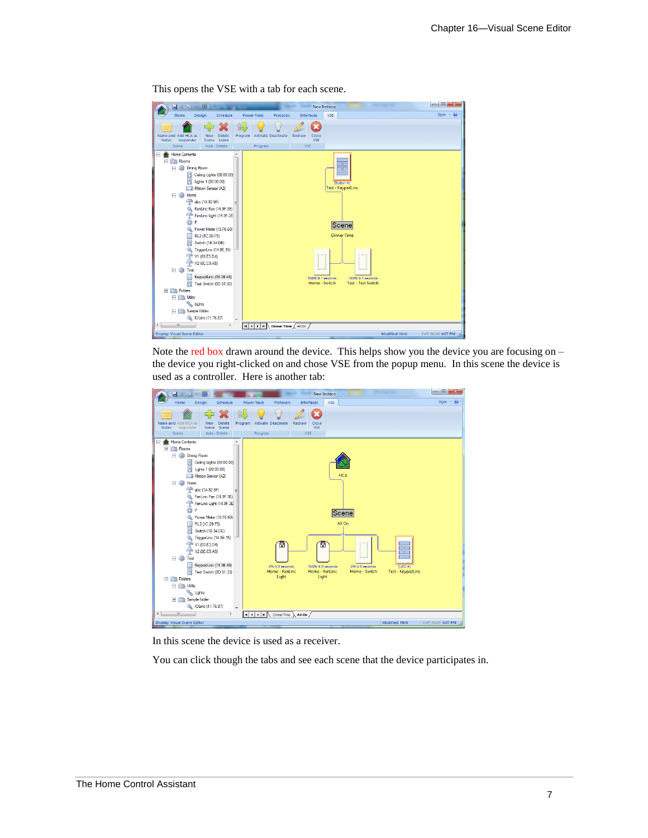| 丽) =<br>日本語画                                                                                                                                                                                                                                                                                                                                                                                                                                                                                                                                       | New Insteon<br><b>SECURITY</b>                                                                                                                     |                           |
|----------------------------------------------------------------------------------------------------------------------------------------------------------------------------------------------------------------------------------------------------------------------------------------------------------------------------------------------------------------------------------------------------------------------------------------------------------------------------------------------------------------------------------------------------|----------------------------------------------------------------------------------------------------------------------------------------------------|---------------------------|
| Design<br>Schedule<br>Home                                                                                                                                                                                                                                                                                                                                                                                                                                                                                                                         | <b>VSE</b><br><b>Power Track</b><br>Protocols<br><b>Interfaces</b>                                                                                 | $\circledcirc$<br>Style * |
| Name and Add HCA as<br><b>Delete</b><br><b>New</b><br>Scene Scene<br>Notes<br>responder<br>Scene<br>Add - Delete                                                                                                                                                                                                                                                                                                                                                                                                                                   | Program<br><b>Activate Deactivate</b><br>Redraw<br>Close<br><b>VSE</b><br>Program<br><b>VSE</b>                                                    |                           |
| Home Contents<br>Θ<br>È<br>Rooms<br>$\boxminus$<br><b>Dining Room</b><br>E<br>H<br>Ceiling Lights (00.00.00)<br>н<br>Lights 1 (00.00.00)<br>Motion Sensor (A2)<br>m<br>Home<br>E.<br>G<br>abc (1A.92.9F)<br>FanLinc Fan (14.9F.3E)<br>FanLinc Light (14.9F.3E)<br>舂<br>P<br>Power Meter (18.F6.60)<br>▵<br>RL2 (1C.2B.F5)<br>m<br>п<br>Switch (1B.34.DE)<br>TriggerLinc (14.8E.15)<br>V1 (03.E3.D4)<br>क़<br>V2 (OC.C9.A5)<br><b>EI</b> Test<br>KeypadLinc (19.3B.48)<br>Ш<br>п<br>Test Switch (0D.51.33)<br>$\Box$ Folders<br>Ξ<br><b>Utility</b> | ╦<br>[Button A]<br>Test - KeypadLinc<br>Scene<br><b>Dinner Time</b><br>100% 0.1 seconds<br>100% 0.1 seconds<br>Test - Test Switch<br>Home - Switch |                           |
| Lights<br>Sample folder<br>FC<br><b>NOLinc (11.76.87)</b>                                                                                                                                                                                                                                                                                                                                                                                                                                                                                          |                                                                                                                                                    |                           |
| $\leftarrow$<br>$^{\rm III}$<br>F.                                                                                                                                                                                                                                                                                                                                                                                                                                                                                                                 | $\mathbb{R}$ $\left\{ \left. \right  \left. \right\}$ $\left. \right $ $\mathbb{R}$<br>Dinner Time $\bigwedge$ All On $\bigwedge$                  |                           |
| <b>Display: Visual Scene Editor</b>                                                                                                                                                                                                                                                                                                                                                                                                                                                                                                                | Modified Hint                                                                                                                                      | CAP NUM 4:07 PM           |

This opens the VSE with a tab for each scene.

Note the red box drawn around the device. This helps show you the device you are focusing on  $$ the device you right-clicked on and chose VSE from the popup menu. In this scene the device is used as a controller. Here is another tab:



In this scene the device is used as a receiver.

You can click though the tabs and see each scene that the device participates in.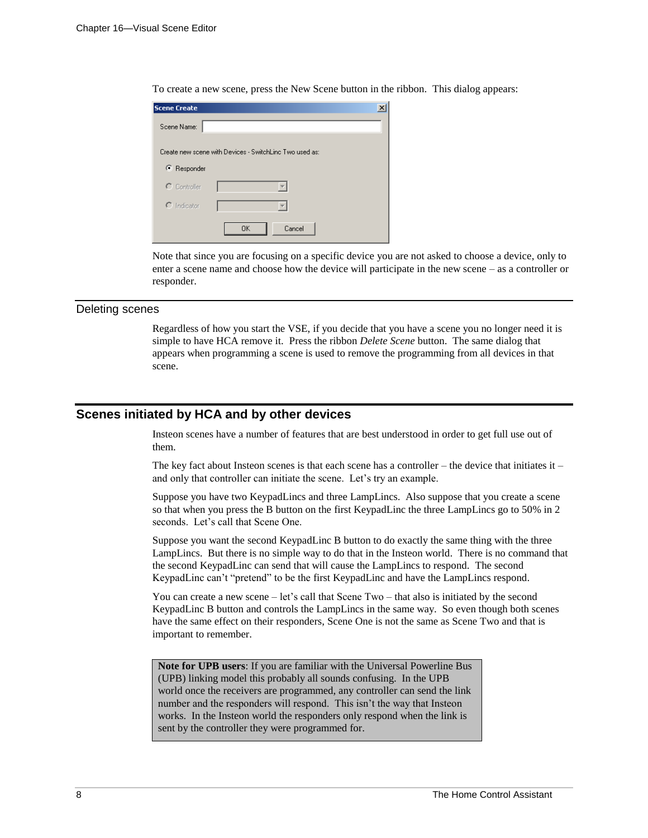| <b>Scene Create</b> | $\times$                                                |
|---------------------|---------------------------------------------------------|
| Scene Name:         |                                                         |
|                     | Create new scene with Devices - SwitchLinc Two used as: |
| C Responder         |                                                         |
| $\Gamma$ Controller |                                                         |
| $C$ Indicator       |                                                         |
|                     | <b>OK</b><br>Cancel                                     |

To create a new scene, press the New Scene button in the ribbon. This dialog appears:

Note that since you are focusing on a specific device you are not asked to choose a device, only to enter a scene name and choose how the device will participate in the new scene – as a controller or responder.

#### Deleting scenes

Regardless of how you start the VSE, if you decide that you have a scene you no longer need it is simple to have HCA remove it. Press the ribbon *Delete Scene* button. The same dialog that appears when programming a scene is used to remove the programming from all devices in that scene.

# **Scenes initiated by HCA and by other devices**

Insteon scenes have a number of features that are best understood in order to get full use out of them.

The key fact about Insteon scenes is that each scene has a controller – the device that initiates it – and only that controller can initiate the scene. Let's try an example.

Suppose you have two KeypadLincs and three LampLincs. Also suppose that you create a scene so that when you press the B button on the first KeypadLinc the three LampLincs go to 50% in 2 seconds. Let's call that Scene One.

Suppose you want the second KeypadLinc B button to do exactly the same thing with the three LampLincs. But there is no simple way to do that in the Insteon world. There is no command that the second KeypadLinc can send that will cause the LampLincs to respond. The second KeypadLinc can't "pretend" to be the first KeypadLinc and have the LampLincs respond.

You can create a new scene – let's call that Scene Two – that also is initiated by the second KeypadLinc B button and controls the LampLincs in the same way. So even though both scenes have the same effect on their responders, Scene One is not the same as Scene Two and that is important to remember.

**Note for UPB users**: If you are familiar with the Universal Powerline Bus (UPB) linking model this probably all sounds confusing. In the UPB world once the receivers are programmed, any controller can send the link number and the responders will respond. This isn't the way that Insteon works. In the Insteon world the responders only respond when the link is sent by the controller they were programmed for.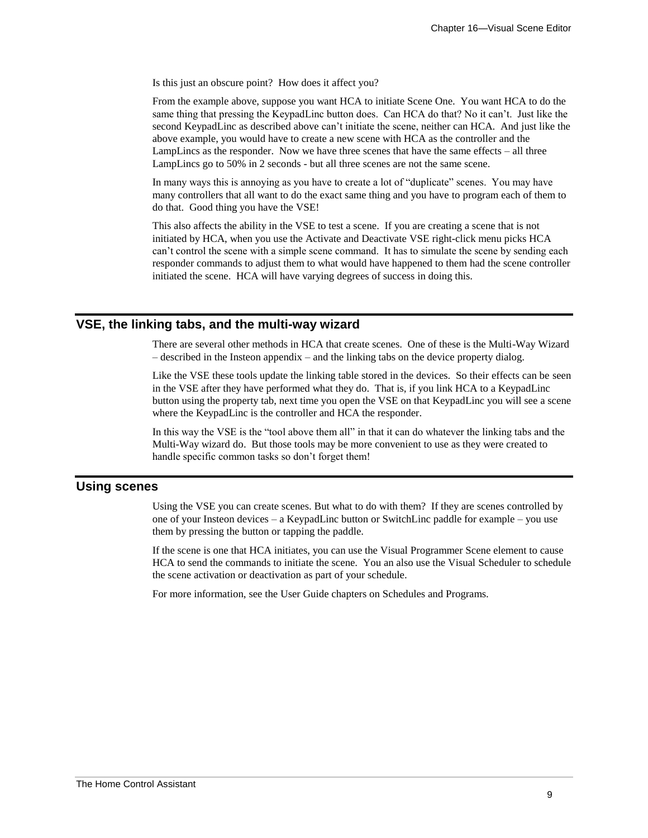Is this just an obscure point? How does it affect you?

From the example above, suppose you want HCA to initiate Scene One. You want HCA to do the same thing that pressing the KeypadLinc button does. Can HCA do that? No it can't. Just like the second KeypadLinc as described above can't initiate the scene, neither can HCA. And just like the above example, you would have to create a new scene with HCA as the controller and the LampLincs as the responder. Now we have three scenes that have the same effects – all three LampLincs go to 50% in 2 seconds - but all three scenes are not the same scene.

In many ways this is annoying as you have to create a lot of "duplicate" scenes. You may have many controllers that all want to do the exact same thing and you have to program each of them to do that. Good thing you have the VSE!

This also affects the ability in the VSE to test a scene. If you are creating a scene that is not initiated by HCA, when you use the Activate and Deactivate VSE right-click menu picks HCA can't control the scene with a simple scene command. It has to simulate the scene by sending each responder commands to adjust them to what would have happened to them had the scene controller initiated the scene. HCA will have varying degrees of success in doing this.

# **VSE, the linking tabs, and the multi-way wizard**

There are several other methods in HCA that create scenes. One of these is the Multi-Way Wizard – described in the Insteon appendix – and the linking tabs on the device property dialog.

Like the VSE these tools update the linking table stored in the devices. So their effects can be seen in the VSE after they have performed what they do. That is, if you link HCA to a KeypadLinc button using the property tab, next time you open the VSE on that KeypadLinc you will see a scene where the KeypadLinc is the controller and HCA the responder.

In this way the VSE is the "tool above them all" in that it can do whatever the linking tabs and the Multi-Way wizard do. But those tools may be more convenient to use as they were created to handle specific common tasks so don't forget them!

# **Using scenes**

Using the VSE you can create scenes. But what to do with them? If they are scenes controlled by one of your Insteon devices – a KeypadLinc button or SwitchLinc paddle for example – you use them by pressing the button or tapping the paddle.

If the scene is one that HCA initiates, you can use the Visual Programmer Scene element to cause HCA to send the commands to initiate the scene. You an also use the Visual Scheduler to schedule the scene activation or deactivation as part of your schedule.

For more information, see the User Guide chapters on Schedules and Programs.